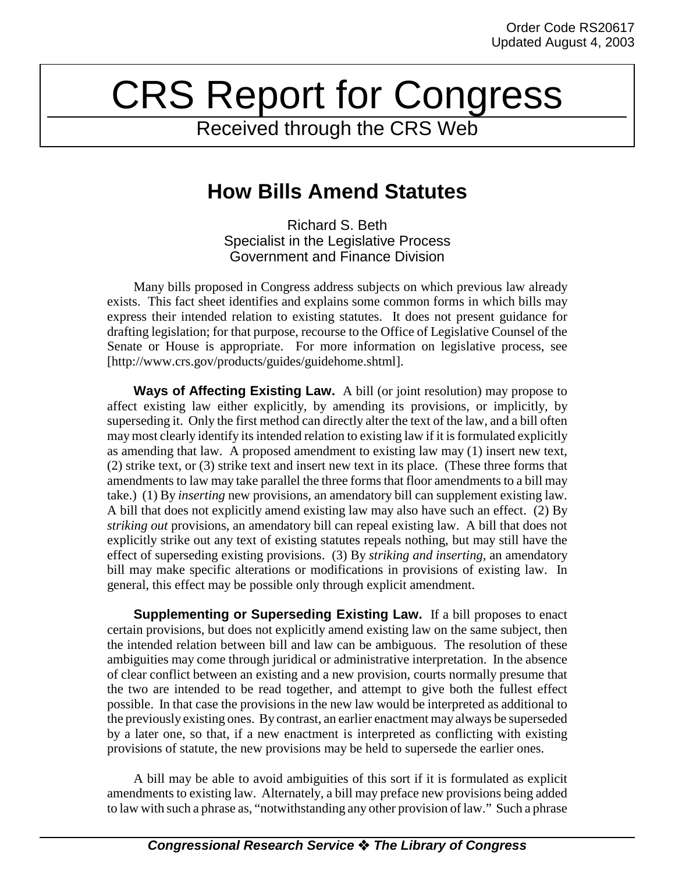## CRS Report for Congress

Received through the CRS Web

## **How Bills Amend Statutes**

Richard S. Beth Specialist in the Legislative Process Government and Finance Division

Many bills proposed in Congress address subjects on which previous law already exists. This fact sheet identifies and explains some common forms in which bills may express their intended relation to existing statutes. It does not present guidance for drafting legislation; for that purpose, recourse to the Office of Legislative Counsel of the Senate or House is appropriate. For more information on legislative process, see [http://www.crs.gov/products/guides/guidehome.shtml].

**Ways of Affecting Existing Law.** A bill (or joint resolution) may propose to affect existing law either explicitly, by amending its provisions, or implicitly, by superseding it. Only the first method can directly alter the text of the law, and a bill often may most clearly identify its intended relation to existing law if it is formulated explicitly as amending that law. A proposed amendment to existing law may (1) insert new text, (2) strike text, or (3) strike text and insert new text in its place. (These three forms that amendments to law may take parallel the three forms that floor amendments to a bill may take.) (1) By *inserting* new provisions, an amendatory bill can supplement existing law. A bill that does not explicitly amend existing law may also have such an effect. (2) By *striking out* provisions, an amendatory bill can repeal existing law. A bill that does not explicitly strike out any text of existing statutes repeals nothing, but may still have the effect of superseding existing provisions. (3) By *striking and inserting*, an amendatory bill may make specific alterations or modifications in provisions of existing law. In general, this effect may be possible only through explicit amendment.

**Supplementing or Superseding Existing Law.** If a bill proposes to enact certain provisions, but does not explicitly amend existing law on the same subject, then the intended relation between bill and law can be ambiguous. The resolution of these ambiguities may come through juridical or administrative interpretation. In the absence of clear conflict between an existing and a new provision, courts normally presume that the two are intended to be read together, and attempt to give both the fullest effect possible. In that case the provisions in the new law would be interpreted as additional to the previously existing ones. By contrast, an earlier enactment may always be superseded by a later one, so that, if a new enactment is interpreted as conflicting with existing provisions of statute, the new provisions may be held to supersede the earlier ones.

A bill may be able to avoid ambiguities of this sort if it is formulated as explicit amendments to existing law. Alternately, a bill may preface new provisions being added to law with such a phrase as, "notwithstanding any other provision of law." Such a phrase